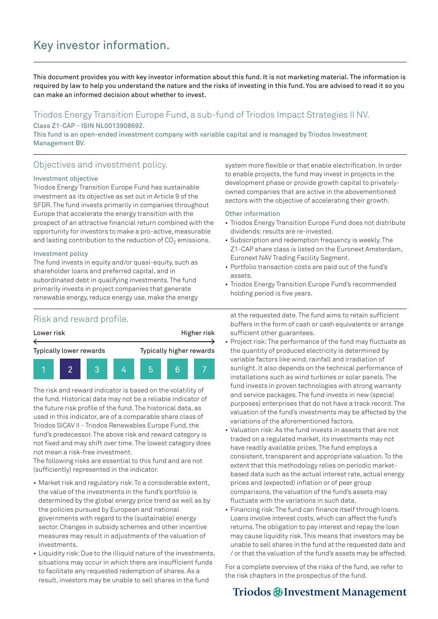# Key investor information.

This document provides you with key investor information about this fund. It is not marketing material. The information is required by law to help you understand the nature and the risks of investing in this fund. You are advised to read it so you can make an informed decision about whether to invest.

### Triodos Energy Transition Europe Fund, a sub-fund of Triodos Impact Strategies II NV. Class Z1-CAP - ISIN NL0013908692.

This fund is an open-ended investment company with variable capital and is managed by Triodos Investment Management BV.

### Objectives and investment policy.

#### Investment objective

Triodos Energy Transition Europe Fund has sustainable investment as its objective as set out in Article 9 of the SFDR. The fund invests primarily in companies throughout Europe that accelerate the energy transition with the prospect of an attractive financial return combined with the opportunity for investors to make a pro-active, measurable and lasting contribution to the reduction of  $CO<sub>2</sub>$  emissions.

#### Investment policy

The fund invests in equity and/or quasi-equity, such as shareholder loans and preferred capital, and in subordinated debt in qualifying investments. The fund primarily invests in project companies that generate renewable energy, reduce energy use, make the energy

### Risk and reward profile.



The risk and reward indicator is based on the volatility of the fund. Historical data may not be a reliable indicator of the future risk profile of the fund. The historical data, as used in this indicator, are of a comparable share class of Triodos SICAV II - Triodos Renewables Europe Fund, the fund's predecessor. The above risk and reward category is not fixed and may shift over time. The lowest category does not mean a risk-free investment.

The following risks are essential to this fund and are not (sufficiently) represented in the indicator.

- Market risk and regulatory risk: To a considerable extent, the value of the investments in the fund's portfolio is determined by the global energy price trend as well as by the policies pursued by European and national governments with regard to the (sustainable) energy sector. Changes in subsidy schemes and other incentive measures may result in adjustments of the valuation of investments.
- Liquidity risk: Due to the illiquid nature of the investments, situations may occur in which there are insufficient funds to facilitate any requested redemption of shares. As a result, investors may be unable to sell shares in the fund

system more flexible or that enable electrification. In order to enable projects, the fund may invest in projects in the development phase or provide growth capital to privatelyowned companies that are active in the abovementioned sectors with the objective of accelerating their growth.

#### Other information

- Triodos Energy Transition Europe Fund does not distribute dividends: results are re-invested.
- Subscription and redemption frequency is weekly. The Z1-CAP share class is listed on the Euronext Amsterdam, Euronext NAV Trading Facility Segment.
- Portfolio transaction costs are paid out of the fund's assets.
- Triodos Energy Transition Europe Fund's recommended holding period is five years.

at the requested date. The fund aims to retain sufficient buffers in the form of cash or cash equivalents or arrange sufficient other guarantees.

- Project risk: The performance of the fund may fluctuate as the quantity of produced electricity is determined by variable factors like wind, rainfall and irradiation of sunlight. It also depends on the technical performance of installations such as wind turbines or solar panels. The fund invests in proven technologies with strong warranty and service packages. The fund invests in new (special purposes) enterprises that do not have a track record. The valuation of the fund's investments may be affected by the variations of the aforementioned factors.
- Valuation risk: As the fund invests in assets that are not traded on a regulated market, its investments may not have readily available prices. The fund employs a consistent, transparent and appropriate valuation. To the extent that this methodology relies on periodic marketbased data such as the actual interest rate, actual energy prices and (expected) inflation or of peer group comparisons, the valuation of the fund's assets may fluctuate with the variations in such data.
- Financing risk: The fund can finance itself through loans. Loans involve interest costs, which can affect the fund's returns. The obligation to pay interest and repay the loan may cause liquidity risk. This means that investors may be unable to sell shares in the fund at the requested date and / or that the valuation of the fund's assets may be affected.

For a complete overview of the risks of the fund, we refer to the risk chapters in the prospectus of the fund.

## Triodos @ Investment Management